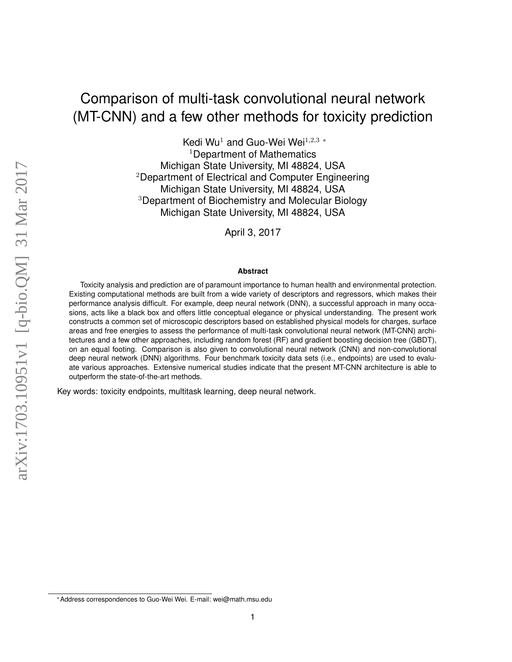# Comparison of multi-task convolutional neural network (MT-CNN) and a few other methods for toxicity prediction

Kedi Wu<sup>1</sup> and Guo-Wei Wei<sup>1,2,3</sup>  $*$ <sup>1</sup>Department of Mathematics Michigan State University, MI 48824, USA <sup>2</sup>Department of Electrical and Computer Engineering Michigan State University, MI 48824, USA <sup>3</sup>Department of Biochemistry and Molecular Biology Michigan State University, MI 48824, USA

April 3, 2017

#### **Abstract**

Toxicity analysis and prediction are of paramount importance to human health and environmental protection. Existing computational methods are built from a wide variety of descriptors and regressors, which makes their performance analysis difficult. For example, deep neural network (DNN), a successful approach in many occasions, acts like a black box and offers little conceptual elegance or physical understanding. The present work constructs a common set of microscopic descriptors based on established physical models for charges, surface areas and free energies to assess the performance of multi-task convolutional neural network (MT-CNN) architectures and a few other approaches, including random forest (RF) and gradient boosting decision tree (GBDT), on an equal footing. Comparison is also given to convolutional neural network (CNN) and non-convolutional deep neural network (DNN) algorithms. Four benchmark toxicity data sets (i.e., endpoints) are used to evaluate various approaches. Extensive numerical studies indicate that the present MT-CNN architecture is able to outperform the state-of-the-art methods.

Key words: toxicity endpoints, multitask learning, deep neural network.

<sup>∗</sup>Address correspondences to Guo-Wei Wei. E-mail: wei@math.msu.edu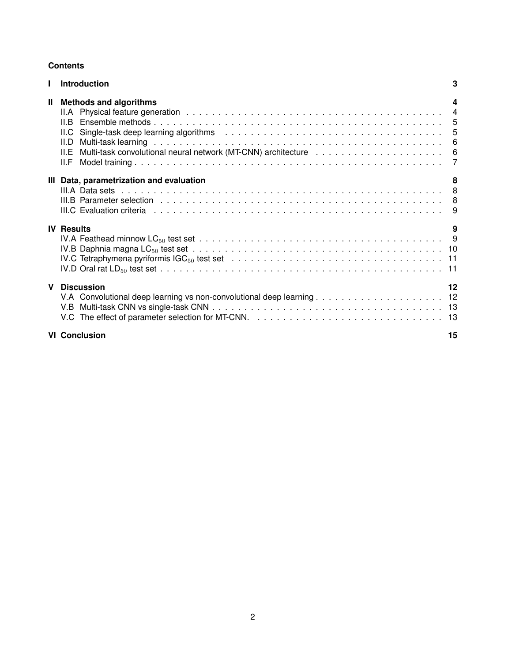# **Contents**

|              | <b>Introduction</b>                                   | 3  |
|--------------|-------------------------------------------------------|----|
| $\mathbf{I}$ | <b>Methods and algorithms</b><br>II.D<br>ILE.<br>II.F | 4  |
|              | III Data, parametrization and evaluation              | 8  |
|              | <b>IV Results</b>                                     | 9  |
| $\mathbf{V}$ | <b>Discussion</b>                                     | 12 |
|              | <b>VI</b> Conclusion                                  | 15 |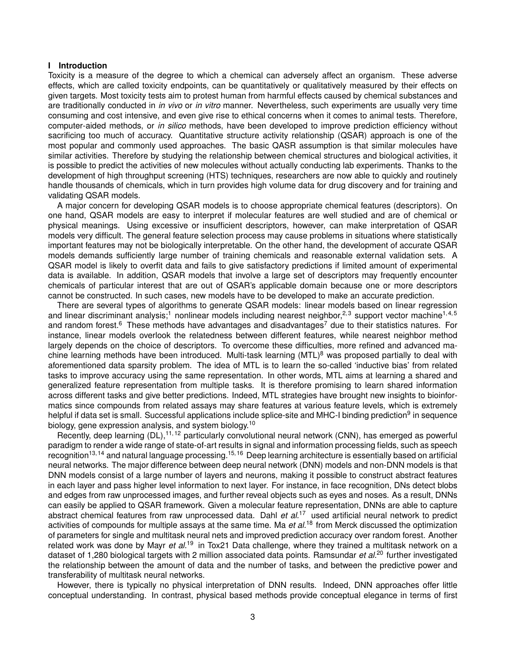## <span id="page-2-0"></span>**I Introduction**

Toxicity is a measure of the degree to which a chemical can adversely affect an organism. These adverse effects, which are called toxicity endpoints, can be quantitatively or qualitatively measured by their effects on given targets. Most toxicity tests aim to protest human from harmful effects caused by chemical substances and are traditionally conducted in *in vivo* or *in vitro* manner. Nevertheless, such experiments are usually very time consuming and cost intensive, and even give rise to ethical concerns when it comes to animal tests. Therefore, computer-aided methods, or *in silico* methods, have been developed to improve prediction efficiency without sacrificing too much of accuracy. Quantitative structure activity relationship (QSAR) approach is one of the most popular and commonly used approaches. The basic QASR assumption is that similar molecules have similar activities. Therefore by studying the relationship between chemical structures and biological activities, it is possible to predict the activities of new molecules without actually conducting lab experiments. Thanks to the development of high throughput screening (HTS) techniques, researchers are now able to quickly and routinely handle thousands of chemicals, which in turn provides high volume data for drug discovery and for training and validating QSAR models.

A major concern for developing QSAR models is to choose appropriate chemical features (descriptors). On one hand, QSAR models are easy to interpret if molecular features are well studied and are of chemical or physical meanings. Using excessive or insufficient descriptors, however, can make interpretation of QSAR models very difficult. The general feature selection process may cause problems in situations where statistically important features may not be biologically interpretable. On the other hand, the development of accurate QSAR models demands sufficiently large number of training chemicals and reasonable external validation sets. A QSAR model is likely to overfit data and fails to give satisfactory predictions if limited amount of experimental data is available. In addition, QSAR models that involve a large set of descriptors may frequently encounter chemicals of particular interest that are out of QSAR's applicable domain because one or more descriptors cannot be constructed. In such cases, new models have to be developed to make an accurate prediction.

There are several types of algorithms to generate QSAR models: linear models based on linear regression and linear discriminant analysis;<sup>[1](#page-15-0)</sup> nonlinear models including nearest neighbor,<sup>[2,](#page-15-1)[3](#page-15-2)</sup> support vector machine<sup>[1,](#page-15-0)[4,](#page-15-3)[5](#page-15-4)</sup> and random forest.<sup>[6](#page-15-5)</sup> These methods have advantages and disadvantages<sup>[7](#page-15-6)</sup> due to their statistics natures. For instance, linear models overlook the relatedness between different features, while nearest neighbor method largely depends on the choice of descriptors. To overcome these difficulties, more refined and advanced machine learning methods have been introduced. Multi-task learning  $(MTL)^8$  $(MTL)^8$  was proposed partially to deal with aforementioned data sparsity problem. The idea of MTL is to learn the so-called 'inductive bias' from related tasks to improve accuracy using the same representation. In other words, MTL aims at learning a shared and generalized feature representation from multiple tasks. It is therefore promising to learn shared information across different tasks and give better predictions. Indeed, MTL strategies have brought new insights to bioinformatics since compounds from related assays may share features at various feature levels, which is extremely helpful if data set is small. Successful applications include splice-site and MHC-I binding prediction<sup>[9](#page-15-8)</sup> in sequence biology, gene expression analysis, and system biology.<sup>[10](#page-15-9)</sup>

Recently, deep learning  $(DL)$ ,<sup>[11,](#page-15-10)[12](#page-15-11)</sup> particularly convolutional neural network (CNN), has emerged as powerful paradigm to render a wide range of state-of-art results in signal and information processing fields, such as speech recognition<sup>[13,](#page-15-12)[14](#page-16-0)</sup> and natural language processing.<sup>[15,](#page-16-1)[16](#page-16-2)</sup> Deep learning architecture is essentially based on artificial neural networks. The major difference between deep neural network (DNN) models and non-DNN models is that DNN models consist of a large number of layers and neurons, making it possible to construct abstract features in each layer and pass higher level information to next layer. For instance, in face recognition, DNs detect blobs and edges from raw unprocessed images, and further reveal objects such as eyes and noses. As a result, DNNs can easily be applied to QSAR framework. Given a molecular feature representation, DNNs are able to capture abstract chemical features from raw unprocessed data. Dahl *et al.*[17](#page-16-3) used artificial neural network to predict activities of compounds for multiple assays at the same time. Ma *et al.*[18](#page-16-4) from Merck discussed the optimization of parameters for single and multitask neural nets and improved prediction accuracy over random forest. Another related work was done by Mayr *et al.*[19](#page-16-5) in Tox21 Data challenge, where they trained a multitask network on a dataset of 1,280 biological targets with 2 million associated data points. Ramsundar *et al.*[20](#page-16-6) further investigated the relationship between the amount of data and the number of tasks, and between the predictive power and transferability of multitask neural networks.

However, there is typically no physical interpretation of DNN results. Indeed, DNN approaches offer little conceptual understanding. In contrast, physical based methods provide conceptual elegance in terms of first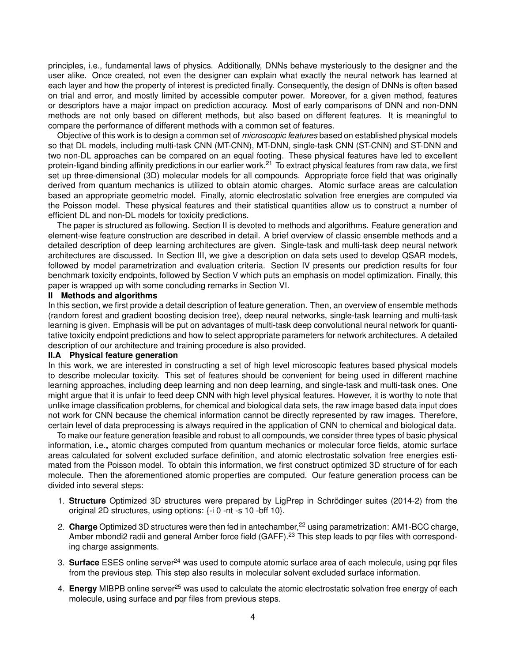principles, i.e., fundamental laws of physics. Additionally, DNNs behave mysteriously to the designer and the user alike. Once created, not even the designer can explain what exactly the neural network has learned at each layer and how the property of interest is predicted finally. Consequently, the design of DNNs is often based on trial and error, and mostly limited by accessible computer power. Moreover, for a given method, features or descriptors have a major impact on prediction accuracy. Most of early comparisons of DNN and non-DNN methods are not only based on different methods, but also based on different features. It is meaningful to compare the performance of different methods with a common set of features.

Objective of this work is to design a common set of *microscopic features* based on established physical models so that DL models, including multi-task CNN (MT-CNN), MT-DNN, single-task CNN (ST-CNN) and ST-DNN and two non-DL approaches can be compared on an equal footing. These physical features have led to excellent protein-ligand binding affinity predictions in our earlier work.<sup>[21](#page-16-7)</sup> To extract physical features from raw data, we first set up three-dimensional (3D) molecular models for all compounds. Appropriate force field that was originally derived from quantum mechanics is utilized to obtain atomic charges. Atomic surface areas are calculation based an appropriate geometric model. Finally, atomic electrostatic solvation free energies are computed via the Poisson model. These physical features and their statistical quantities allow us to construct a number of efficient DL and non-DL models for toxicity predictions.

The paper is structured as following. Section [II](#page-3-0) is devoted to methods and algorithms. Feature generation and element-wise feature construction are described in detail. A brief overview of classic ensemble methods and a detailed description of deep learning architectures are given. Single-task and multi-task deep neural network architectures are discussed. In Section [III,](#page-7-0) we give a description on data sets used to develop QSAR models, followed by model parametrization and evaluation criteria. Section [IV](#page-8-1) presents our prediction results for four benchmark toxicity endpoints, followed by Section [V](#page-11-0) which puts an emphasis on model optimization. Finally, this paper is wrapped up with some concluding remarks in Section [VI.](#page-14-0)

#### <span id="page-3-0"></span>**II Methods and algorithms**

In this section, we first provide a detail description of feature generation. Then, an overview of ensemble methods (random forest and gradient boosting decision tree), deep neural networks, single-task learning and multi-task learning is given. Emphasis will be put on advantages of multi-task deep convolutional neural network for quantitative toxicity endpoint predictions and how to select appropriate parameters for network architectures. A detailed description of our architecture and training procedure is also provided.

#### <span id="page-3-1"></span>**II.A Physical feature generation**

In this work, we are interested in constructing a set of high level microscopic features based physical models to describe molecular toxicity. This set of features should be convenient for being used in different machine learning approaches, including deep learning and non deep learning, and single-task and multi-task ones. One might argue that it is unfair to feed deep CNN with high level physical features. However, it is worthy to note that unlike image classification problems, for chemical and biological data sets, the raw image based data input does not work for CNN because the chemical information cannot be directly represented by raw images. Therefore, certain level of data preprocessing is always required in the application of CNN to chemical and biological data.

To make our feature generation feasible and robust to all compounds, we consider three types of basic physical information, i.e., atomic charges computed from quantum mechanics or molecular force fields, atomic surface areas calculated for solvent excluded surface definition, and atomic electrostatic solvation free energies estimated from the Poisson model. To obtain this information, we first construct optimized 3D structure of for each molecule. Then the aforementioned atomic properties are computed. Our feature generation process can be divided into several steps:

- 1. **Structure** Optimized 3D structures were prepared by LigPrep in [Schrödinger suites \(2014-2\)](https://www.schrodinger.com/) from the original 2D structures, using options: {-i 0 -nt -s 10 -bff 10}.
- 2. **Charge** Optimized 3D structures were then fed in antechamber,<sup>[22](#page-16-8)</sup> using parametrization: AM1-BCC charge, Amber mbondi2 radii and general Amber force field (GAFF).<sup>[23](#page-16-9)</sup> This step leads to par files with corresponding charge assignments.
- 3. **Surface** [ESES online server](http://weilab.math.msu.edu/ESES/)<sup>[24](#page-16-10)</sup> was used to compute atomic surface area of each molecule, using pqr files from the previous step. This step also results in molecular solvent excluded surface information.
- 4. **Energy** [MIBPB online server](http://weilab.math.msu.edu/MIBPB/)<sup>[25](#page-16-11)</sup> was used to calculate the atomic electrostatic solvation free energy of each molecule, using surface and pqr files from previous steps.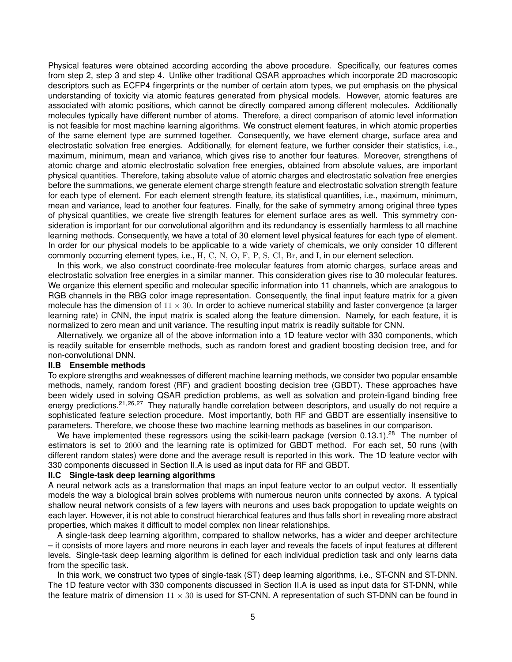Physical features were obtained according according the above procedure. Specifically, our features comes from step 2, step 3 and step 4. Unlike other traditional QSAR approaches which incorporate 2D macroscopic descriptors such as ECFP4 fingerprints or the number of certain atom types, we put emphasis on the physical understanding of toxicity via atomic features generated from physical models. However, atomic features are associated with atomic positions, which cannot be directly compared among different molecules. Additionally molecules typically have different number of atoms. Therefore, a direct comparison of atomic level information is not feasible for most machine learning algorithms. We construct element features, in which atomic properties of the same element type are summed together. Consequently, we have element charge, surface area and electrostatic solvation free energies. Additionally, for element feature, we further consider their statistics, i.e., maximum, minimum, mean and variance, which gives rise to another four features. Moreover, strengthens of atomic charge and atomic electrostatic solvation free energies, obtained from absolute values, are important physical quantities. Therefore, taking absolute value of atomic charges and electrostatic solvation free energies before the summations, we generate element charge strength feature and electrostatic solvation strength feature for each type of element. For each element strength feature, its statistical quantities, i.e., maximum, minimum, mean and variance, lead to another four features. Finally, for the sake of symmetry among original three types of physical quantities, we create five strength features for element surface ares as well. This symmetry consideration is important for our convolutional algorithm and its redundancy is essentially harmless to all machine learning methods. Consequently, we have a total of 30 element level physical features for each type of element. In order for our physical models to be applicable to a wide variety of chemicals, we only consider 10 different commonly occurring element types, i.e., H, C, N, O, F, P, S, Cl, Br, and I, in our element selection.

In this work, we also construct coordinate-free molecular features from atomic charges, surface areas and electrostatic solvation free energies in a similar manner. This consideration gives rise to 30 molecular features. We organize this element specific and molecular specific information into 11 channels, which are analogous to RGB channels in the RBG color image representation. Consequently, the final input feature matrix for a given molecule has the dimension of  $11 \times 30$ . In order to achieve numerical stability and faster convergence (a larger learning rate) in CNN, the input matrix is scaled along the feature dimension. Namely, for each feature, it is normalized to zero mean and unit variance. The resulting input matrix is readily suitable for CNN.

Alternatively, we organize all of the above information into a 1D feature vector with 330 components, which is readily suitable for ensemble methods, such as random forest and gradient boosting decision tree, and for non-convolutional DNN.

#### <span id="page-4-0"></span>**II.B Ensemble methods**

To explore strengths and weaknesses of different machine learning methods, we consider two popular ensamble methods, namely, random forest (RF) and gradient boosting decision tree (GBDT). These approaches have been widely used in solving QSAR prediction problems, as well as solvation and protein-ligand binding free energy predictions.<sup>[21,](#page-16-7)[26,](#page-16-12)[27](#page-16-13)</sup> They naturally handle correlation between descriptors, and usually do not require a sophisticated feature selection procedure. Most importantly, both RF and GBDT are essentially insensitive to parameters. Therefore, we choose these two machine learning methods as baselines in our comparison.

We have implemented these regressors using the scikit-learn package (version 0.13.1).<sup>[28](#page-16-14)</sup> The number of estimators is set to 2000 and the learning rate is optimized for GBDT method. For each set, 50 runs (with different random states) were done and the average result is reported in this work. The 1D feature vector with 330 components discussed in Section [II.A](#page-3-1) is used as input data for RF and GBDT.

#### <span id="page-4-1"></span>**II.C Single-task deep learning algorithms**

A neural network acts as a transformation that maps an input feature vector to an output vector. It essentially models the way a biological brain solves problems with numerous neuron units connected by axons. A typical shallow neural network consists of a few layers with neurons and uses back propogation to update weights on each layer. However, it is not able to construct hierarchical features and thus falls short in revealing more abstract properties, which makes it difficult to model complex non linear relationships.

A single-task deep learning algorithm, compared to shallow networks, has a wider and deeper architecture – it consists of more layers and more neurons in each layer and reveals the facets of input features at different levels. Single-task deep learning algorithm is defined for each individual prediction task and only learns data from the specific task.

In this work, we construct two types of single-task (ST) deep learning algorithms, i.e., ST-CNN and ST-DNN. The 1D feature vector with 330 components discussed in Section [II.A](#page-3-1) is used as input data for ST-DNN, while the feature matrix of dimension  $11 \times 30$  is used for ST-CNN. A representation of such ST-DNN can be found in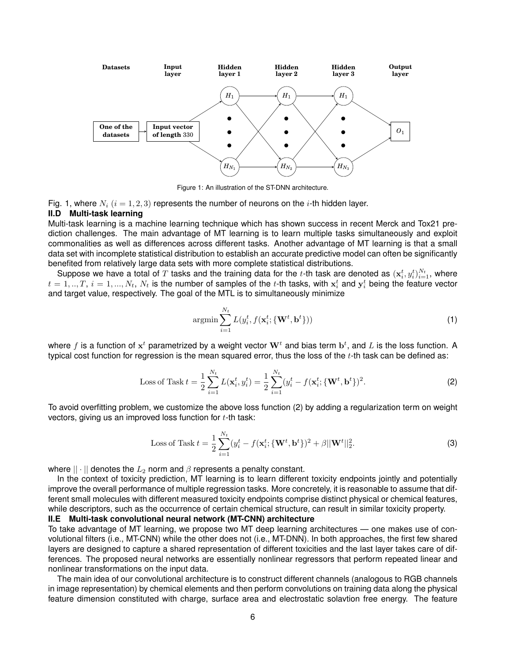<span id="page-5-2"></span>

Figure 1: An illustration of the ST-DNN architecture.

Fig. [1,](#page-5-2) where  $N_i$  ( $i = 1, 2, 3$ ) represents the number of neurons on the i-th hidden layer.

#### <span id="page-5-0"></span>**II.D Multi-task learning**

Multi-task learning is a machine learning technique which has shown success in recent Merck and Tox21 prediction challenges. The main advantage of MT learning is to learn multiple tasks simultaneously and exploit commonalities as well as differences across different tasks. Another advantage of MT learning is that a small data set with incomplete statistical distribution to establish an accurate predictive model can often be significantly benefited from relatively large data sets with more complete statistical distributions.

Suppose we have a total of  $T$  tasks and the training data for the t-th task are denoted as  $(x_i^t, y_i^t)_{i=1}^{N_t}$ , where  $t=1,..,T,~i=1,...,N_t,~N_t$  is the number of samples of the  $t$ -th tasks, with  $\mathbf{x}_i^t$  and  $\mathbf{y}_i^t$  being the feature vector and target value, respectively. The goal of the MTL is to simultaneously minimize

<span id="page-5-3"></span>
$$
\operatorname{argmin} \sum_{i=1}^{N_t} L(y_i^t, f(\mathbf{x}_i^t; \{\mathbf{W}^t, \mathbf{b}^t\}))
$$
\n(1)

where  $f$  is a function of  $\mathbf{x}^t$  parametrized by a weight vector  $\mathbf{W}^t$  and bias term  $\mathbf{b}^t$ , and  $L$  is the loss function. A typical cost function for regression is the mean squared error, thus the loss of the  $t$ -th task can be defined as:

Loss of Task 
$$
t = \frac{1}{2} \sum_{i=1}^{N_t} L(\mathbf{x}_i^t, y_i^t) = \frac{1}{2} \sum_{i=1}^{N_t} (y_i^t - f(\mathbf{x}_i^t; \{\mathbf{W}^t, \mathbf{b}^t\})^2.
$$
 (2)

To avoid overfitting problem, we customize the above loss function [\(2\)](#page-5-3) by adding a regularization term on weight vectors, giving us an improved loss function for  $t$ -th task:

<span id="page-5-4"></span>Loss of Task 
$$
t = \frac{1}{2} \sum_{i=1}^{N_t} (y_i^t - f(\mathbf{x}_i^t; \{\mathbf{W}^t, \mathbf{b}^t\})^2 + \beta ||\mathbf{W}^t||_2^2.
$$
 (3)

where  $|| \cdot ||$  denotes the  $L_2$  norm and  $\beta$  represents a penalty constant.

In the context of toxicity prediction, MT learning is to learn different toxicity endpoints jointly and potentially improve the overall performance of multiple regression tasks. More concretely, it is reasonable to assume that different small molecules with different measured toxicity endpoints comprise distinct physical or chemical features, while descriptors, such as the occurrence of certain chemical structure, can result in similar toxicity property.

<span id="page-5-1"></span>**II.E Multi-task convolutional neural network (MT-CNN) architecture**

To take advantage of MT learning, we propose two MT deep learning architectures — one makes use of convolutional filters (i.e., MT-CNN) while the other does not (i.e., MT-DNN). In both approaches, the first few shared layers are designed to capture a shared representation of different toxicities and the last layer takes care of differences. The proposed neural networks are essentially nonlinear regressors that perform repeated linear and nonlinear transformations on the input data.

The main idea of our convolutional architecture is to construct different channels (analogous to RGB channels in image representation) by chemical elements and then perform convolutions on training data along the physical feature dimension constituted with charge, surface area and electrostatic solavtion free energy. The feature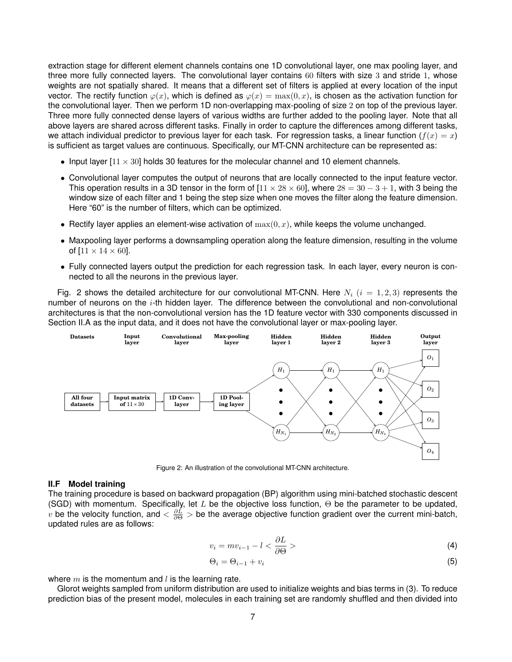extraction stage for different element channels contains one 1D convolutional layer, one max pooling layer, and three more fully connected layers. The convolutional layer contains 60 filters with size 3 and stride 1, whose weights are not spatially shared. It means that a different set of filters is applied at every location of the input vector. The rectify function  $\varphi(x)$ , which is defined as  $\varphi(x) = \max(0, x)$ , is chosen as the activation function for the convolutional layer. Then we perform 1D non-overlapping max-pooling of size 2 on top of the previous layer. Three more fully connected dense layers of various widths are further added to the pooling layer. Note that all above layers are shared across different tasks. Finally in order to capture the differences among different tasks, we attach individual predictor to previous layer for each task. For regression tasks, a linear function ( $f(x) = x$ ) is sufficient as target values are continuous. Specifically, our MT-CNN architecture can be represented as:

- Input layer  $[11 \times 30]$  holds 30 features for the molecular channel and 10 element channels.
- Convolutional layer computes the output of neurons that are locally connected to the input feature vector. This operation results in a 3D tensor in the form of  $[11 \times 28 \times 60]$ , where  $28 = 30 - 3 + 1$ , with 3 being the window size of each filter and 1 being the step size when one moves the filter along the feature dimension. Here "60" is the number of filters, which can be optimized.
- Rectify layer applies an element-wise activation of  $\max(0, x)$ , while keeps the volume unchanged.
- Maxpooling layer performs a downsampling operation along the feature dimension, resulting in the volume of  $[11 \times 14 \times 60]$ .
- Fully connected layers output the prediction for each regression task. In each layer, every neuron is connected to all the neurons in the previous layer.

Fig. [2](#page-6-1) shows the detailed architecture for our convolutional MT-CNN. Here  $N_i$   $(i = 1, 2, 3)$  represents the number of neurons on the  $i$ -th hidden layer. The difference between the convolutional and non-convolutional architectures is that the non-convolutional version has the 1D feature vector with 330 components discussed in Section [II.A](#page-3-1) as the input data, and it does not have the convolutional layer or max-pooling layer.

<span id="page-6-1"></span>

Figure 2: An illustration of the convolutional MT-CNN architecture.

#### <span id="page-6-0"></span>**II.F Model training**

The training procedure is based on backward propagation (BP) algorithm using mini-batched stochastic descent (SGD) with momentum. Specifically, let L be the objective loss function,  $\Theta$  be the parameter to be updated,  $v$  be the velocity function, and  $<\frac{\partial L}{\partial \Theta}>$  be the average objective function gradient over the current mini-batch, updated rules are as follows:

$$
v_i = m v_{i-1} - l < \frac{\partial L}{\partial \Theta} > \tag{4}
$$

$$
\Theta_i = \Theta_{i-1} + v_i \tag{5}
$$

where  $m$  is the momentum and  $l$  is the learning rate.

Glorot weights sampled from uniform distribution are used to initialize weights and bias terms in [\(3\)](#page-5-4). To reduce prediction bias of the present model, molecules in each training set are randomly shuffled and then divided into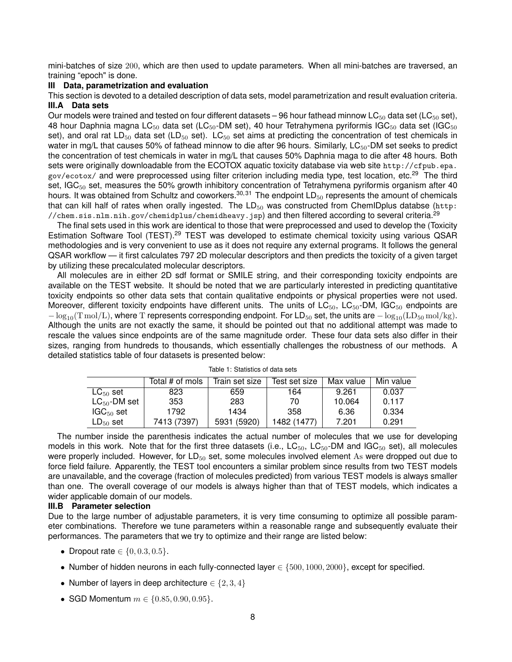mini-batches of size 200, which are then used to update parameters. When all mini-batches are traversed, an training "epoch" is done.

## <span id="page-7-0"></span>**III Data, parametrization and evaluation**

<span id="page-7-1"></span>This section is devoted to a detailed description of data sets, model parametrization and result evaluation criteria. **III.A Data sets**

Our models were trained and tested on four different datasets – 96 hour fathead minnow LC $_{50}$  data set (LC $_{50}$  set), 48 hour Daphnia magna LC<sub>50</sub> data set (LC<sub>50</sub>-DM set), 40 hour Tetrahymena pyriformis IGC<sub>50</sub> data set (IGC<sub>50</sub>) set), and oral rat  $LD_{50}$  data set (LD<sub>50</sub> set). LC<sub>50</sub> set aims at predicting the concentration of test chemicals in water in mg/L that causes 50% of fathead minnow to die after 96 hours. Similarly,  $LC_{50}$ -DM set seeks to predict the concentration of test chemicals in water in mg/L that causes 50% Daphnia maga to die after 48 hours. Both sets were originally downloadable from the ECOTOX aquatic toxicity database via web site [http://cfpub.epa.](http://cfpub.epa.gov/ecotox/) [gov/ecotox/](http://cfpub.epa.gov/ecotox/) and were preprocessed using filter criterion including media type, test location, etc.<sup>[29](#page-16-15)</sup> The third set, IGC<sub>50</sub> set, measures the 50% growth inhibitory concentration of Tetrahymena pyriformis organism after 40 hours. It was obtained from Schultz and coworkers.<sup>[30,](#page-16-16)[31](#page-16-17)</sup> The endpoint  $LD_{50}$  represents the amount of chemicals that can kill half of rates when orally ingested. The  $LD_{50}$  was constructed from ChemIDplus databse ([http:](http://chem.sis.nlm.nih.gov/chemidplus/chemidheavy.jsp) [//chem.sis.nlm.nih.gov/chemidplus/chemidheavy.jsp](http://chem.sis.nlm.nih.gov/chemidplus/chemidheavy.jsp)) and then filtered according to several criteria.[29](#page-16-15)

The final sets used in this work are identical to those that were preprocessed and used to develop the [\(Toxicity](https://www.epa.gov/chemical-research/toxicity-estimation-software-tool-test) [Estimation Software Tool](https://www.epa.gov/chemical-research/toxicity-estimation-software-tool-test) (TEST).<sup>[29](#page-16-15)</sup> TEST was developed to estimate chemical toxicity using various QSAR methodologies and is very convenient to use as it does not require any external programs. It follows the general QSAR workflow — it first calculates 797 2D molecular descriptors and then predicts the toxicity of a given target by utilizing these precalculated molecular descriptors.

All molecules are in either 2D sdf format or SMILE string, and their corresponding toxicity endpoints are available on the TEST website. It should be noted that we are particularly interested in predicting quantitative toxicity endpoints so other data sets that contain qualitative endpoints or physical properties were not used. Moreover, different toxicity endpoints have different units. The units of LC<sub>50</sub>, LC<sub>50</sub>, DM, IGC<sub>50</sub> endpoints are  $-\log_{10}(T \text{ mol/L})$ , where T represents corresponding endpoint. For LD<sub>50</sub> set, the units are  $-\log_{10}(LD_{50} \text{ mol/kg})$ . Although the units are not exactly the same, it should be pointed out that no additional attempt was made to rescale the values since endpoints are of the same magnitude order. These four data sets also differ in their sizes, ranging from hundreds to thousands, which essentially challenges the robustness of our methods. A detailed statistics table of four datasets is presented below:

|                   | Total # of mols | Train set size | Test set size | Max value | Min value |
|-------------------|-----------------|----------------|---------------|-----------|-----------|
| $LG_{50}$ set     | 823             | 659            | 164           | 9.261     | 0.037     |
| $LC_{50}$ -DM set | 353             | 283            | 70            | 10.064    | 0.117     |
| $IGC_{50}$ set    | 1792            | 1434           | 358           | 6.36      | 0.334     |
| $LD_{50}$ set     | 7413 (7397)     | 5931 (5920)    | 1482 (1477)   | 7.201     | 0.291     |

Table 1: Statistics of data sets

The number inside the parenthesis indicates the actual number of molecules that we use for developing models in this work. Note that for the first three datasets (i.e.,  $LC_{50}$ ,  $LC_{50}$ -DM and IGC<sub>50</sub> set), all molecules were properly included. However, for LD<sub>50</sub> set, some molecules involved element As were dropped out due to force field failure. Apparently, the TEST tool encounters a similar problem since results from two TEST models are unavailable, and the coverage (fraction of molecules predicted) from various TEST models is always smaller than one. The overall coverage of our models is always higher than that of TEST models, which indicates a wider applicable domain of our models.

# <span id="page-7-2"></span>**III.B Parameter selection**

Due to the large number of adjustable parameters, it is very time consuming to optimize all possible parameter combinations. Therefore we tune parameters within a reasonable range and subsequently evaluate their performances. The parameters that we try to optimize and their range are listed below:

- Dropout rate  $\in \{0, 0.3, 0.5\}.$
- Number of hidden neurons in each fully-connected layer  $\in \{500, 1000, 2000\}$ , except for specified.
- Number of layers in deep architecture  $\in \{2,3,4\}$
- SGD Momentum  $m \in \{0.85, 0.90, 0.95\}.$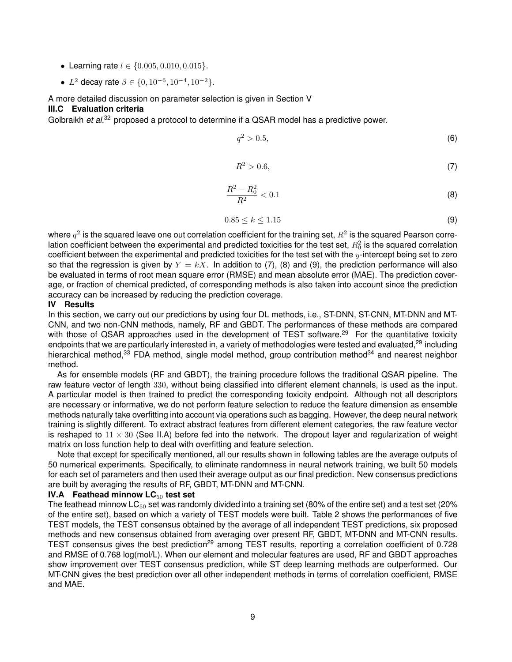- Learning rate  $l \in \{0.005, 0.010, 0.015\}$ .
- L<sup>2</sup> decay rate  $\beta \in \{0, 10^{-6}, 10^{-4}, 10^{-2}\}.$

# A more detailed discussion on parameter selection is given in Section [V](#page-11-0)

# <span id="page-8-0"></span>**III.C Evaluation criteria**

<span id="page-8-3"></span>Golbraikh *et al.*<sup>[32](#page-17-0)</sup> proposed a protocol to determine if a QSAR model has a predictive power.

$$
q^2 > 0.5,\tag{6}
$$

$$
R^2 > 0.6,\tag{7}
$$

$$
\frac{R^2 - R_0^2}{R^2} < 0.1\tag{8}
$$

$$
0.85 \le k \le 1.15 \tag{9}
$$

<span id="page-8-5"></span><span id="page-8-4"></span>where  $q^2$  is the squared leave one out correlation coefficient for the training set,  $R^2$  is the squared Pearson correlation coefficient between the experimental and predicted toxicities for the test set,  $R_0^2$  is the squared correlation coefficient between the experimental and predicted toxicities for the test set with the  $y$ -intercept being set to zero so that the regression is given by  $Y = kX$ . In addition to [\(7\)](#page-8-3), [\(8\)](#page-8-4) and [\(9\)](#page-8-5), the prediction performance will also be evaluated in terms of root mean square error (RMSE) and mean absolute error (MAE). The prediction coverage, or fraction of chemical predicted, of corresponding methods is also taken into account since the prediction accuracy can be increased by reducing the prediction coverage.

# <span id="page-8-1"></span>**IV Results**

In this section, we carry out our predictions by using four DL methods, i.e., ST-DNN, ST-CNN, MT-DNN and MT-CNN, and two non-CNN methods, namely, RF and GBDT. The performances of these methods are compared with those of QSAR approaches used in the development of TEST software.<sup>[29](#page-16-15)</sup> For the quantitative toxicity endpoints that we are particularly interested in, a variety of methodologies were tested and evaluated,<sup>[29](#page-16-15)</sup> including hierarchical method,<sup>[33](#page-17-1)</sup> FDA method, single model method, group contribution method<sup>[34](#page-17-2)</sup> and nearest neighbor method.

As for ensemble models (RF and GBDT), the training procedure follows the traditional QSAR pipeline. The raw feature vector of length 330, without being classified into different element channels, is used as the input. A particular model is then trained to predict the corresponding toxicity endpoint. Although not all descriptors are necessary or informative, we do not perform feature selection to reduce the feature dimension as ensemble methods naturally take overfitting into account via operations such as bagging. However, the deep neural network training is slightly different. To extract abstract features from different element categories, the raw feature vector is reshaped to  $11 \times 30$  (See [II.A\)](#page-3-1) before fed into the network. The dropout layer and regularization of weight matrix on loss function help to deal with overfitting and feature selection.

Note that except for specifically mentioned, all our results shown in following tables are the average outputs of 50 numerical experiments. Specifically, to eliminate randomness in neural network training, we built 50 models for each set of parameters and then used their average output as our final prediction. New consensus predictions are built by averaging the results of RF, GBDT, MT-DNN and MT-CNN.

## <span id="page-8-2"></span>**IV.A Feathead minnow LC**<sup>50</sup> **test set**

The feathead minnow  $LC_{50}$  set was randomly divided into a training set (80% of the entire set) and a test set (20% of the entire set), based on which a variety of TEST models were built. Table [2](#page-9-1) shows the performances of five TEST models, the TEST consensus obtained by the average of all independent TEST predictions, six proposed methods and new consensus obtained from averaging over present RF, GBDT, MT-DNN and MT-CNN results. TEST consensus gives the best prediction<sup>[29](#page-16-15)</sup> among TEST results, reporting a correlation coefficient of 0.728 and RMSE of 0.768 log(mol/L). When our element and molecular features are used, RF and GBDT approaches show improvement over TEST consensus prediction, while ST deep learning methods are outperformed. Our MT-CNN gives the best prediction over all other independent methods in terms of correlation coefficient, RMSE and MAE.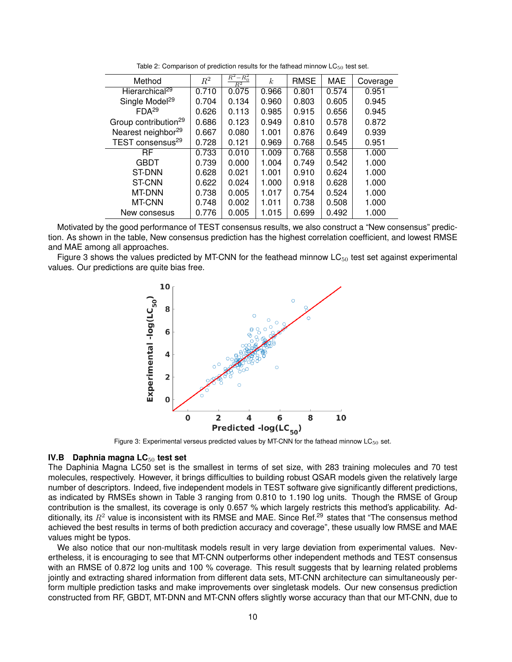<span id="page-9-1"></span>

| Method                           | $R^2$ | $-R_0^2$<br>$\,R^2$<br>$R^2$ | $\boldsymbol{k}$ | <b>RMSE</b> | MAE   | Coverage |
|----------------------------------|-------|------------------------------|------------------|-------------|-------|----------|
| Hierarchical <sup>29</sup>       | 0.710 | 0.075                        | 0.966            | 0.801       | 0.574 | 0.951    |
| Single Model <sup>29</sup>       | 0.704 | 0.134                        | 0.960            | 0.803       | 0.605 | 0.945    |
| FDA <sup>29</sup>                | 0.626 | 0.113                        | 0.985            | 0.915       | 0.656 | 0.945    |
| Group contribution <sup>29</sup> | 0.686 | 0.123                        | 0.949            | 0.810       | 0.578 | 0.872    |
| Nearest neighbor <sup>29</sup>   | 0.667 | 0.080                        | 1.001            | 0.876       | 0.649 | 0.939    |
| TEST consensus <sup>29</sup>     | 0.728 | 0.121                        | 0.969            | 0.768       | 0.545 | 0.951    |
| RF                               | 0.733 | 0.010                        | 1.009            | 0.768       | 0.558 | 1.000    |
| <b>GBDT</b>                      | 0.739 | 0.000                        | 1.004            | 0.749       | 0.542 | 1.000    |
| <b>ST-DNN</b>                    | 0.628 | 0.021                        | 1.001            | 0.910       | 0.624 | 1.000    |
| <b>ST-CNN</b>                    | 0.622 | 0.024                        | 1.000            | 0.918       | 0.628 | 1.000    |
| <b>MT-DNN</b>                    | 0.738 | 0.005                        | 1.017            | 0.754       | 0.524 | 1.000    |
| MT-CNN                           | 0.748 | 0.002                        | 1.011            | 0.738       | 0.508 | 1.000    |
| New consesus                     | 0.776 | 0.005                        | 1.015            | 0.699       | 0.492 | 1.000    |

Table 2: Comparison of prediction results for the fathead minnow  $LC_{50}$  test set.

Motivated by the good performance of TEST consensus results, we also construct a "New consensus" prediction. As shown in the table, New consensus prediction has the highest correlation coefficient, and lowest RMSE and MAE among all approaches.

<span id="page-9-2"></span>Figure [3](#page-9-2) shows the values predicted by MT-CNN for the feathead minnow  $LC_{50}$  test set against experimental values. Our predictions are quite bias free.



Figure 3: Experimental verseus predicted values by MT-CNN for the fathead minnow  $LC_{50}$  set.

#### <span id="page-9-0"></span>**IV.B Daphnia magna LC**<sup>50</sup> **test set**

The Daphinia Magna LC50 set is the smallest in terms of set size, with 283 training molecules and 70 test molecules, respectively. However, it brings difficulties to building robust QSAR models given the relatively large number of descriptors. Indeed, five independent models in TEST software give significantly different predictions, as indicated by RMSEs shown in Table [3](#page-10-2) ranging from 0.810 to 1.190 log units. Though the RMSE of Group contribution is the smallest, its coverage is only 0.657 % which largely restricts this method's applicability. Additionally, its  $R^2$  value is inconsistent with its RMSE and MAE. Since Ref.<sup>[29](#page-16-15)</sup> states that "The consensus method achieved the best results in terms of both prediction accuracy and coverage", these usually low RMSE and MAE values might be typos.

We also notice that our non-multitask models result in very large deviation from experimental values. Nevertheless, it is encouraging to see that MT-CNN outperforms other independent methods and TEST consensus with an RMSE of 0.872 log units and 100 % coverage. This result suggests that by learning related problems jointly and extracting shared information from different data sets, MT-CNN architecture can simultaneously perform multiple prediction tasks and make improvements over singletask models. Our new consensus prediction constructed from RF, GBDT, MT-DNN and MT-CNN offers slightly worse accuracy than that our MT-CNN, due to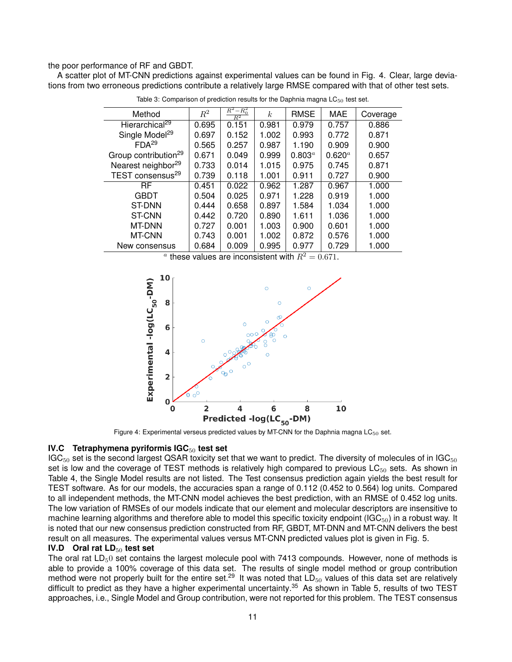the poor performance of RF and GBDT.

<span id="page-10-2"></span>A scatter plot of MT-CNN predictions against experimental values can be found in Fig. [4.](#page-10-3) Clear, large deviations from two erroneous predictions contribute a relatively large RMSE compared with that of other test sets.

| Method                           | $R^2$ | $R^2 - R_0^2$<br>$R^2$ | k <sub>i</sub> | <b>RMSE</b> | MAE         | Coverage |
|----------------------------------|-------|------------------------|----------------|-------------|-------------|----------|
| Hierarchical <sup>29</sup>       | 0.695 | 0.151                  | 0.981          | 0.979       | 0.757       | 0.886    |
| Single Model <sup>29</sup>       | 0.697 | 0.152                  | 1.002          | 0.993       | 0.772       | 0.871    |
| FDA <sup>29</sup>                | 0.565 | 0.257                  | 0.987          | 1.190       | 0.909       | 0.900    |
| Group contribution <sup>29</sup> | 0.671 | 0.049                  | 0.999          | $0.803^{a}$ | $0.620^{a}$ | 0.657    |
| Nearest neighbor <sup>29</sup>   | 0.733 | 0.014                  | 1.015          | 0.975       | 0.745       | 0.871    |
| TEST consensus <sup>29</sup>     | 0.739 | 0.118                  | 1.001          | 0.911       | 0.727       | 0.900    |
| <b>RF</b>                        | 0.451 | 0.022                  | 0.962          | 1.287       | 0.967       | 1.000    |
| <b>GBDT</b>                      | 0.504 | 0.025                  | 0.971          | 1.228       | 0.919       | 1.000    |
| ST-DNN                           | 0.444 | 0.658                  | 0.897          | 1.584       | 1.034       | 1.000    |
| <b>ST-CNN</b>                    | 0.442 | 0.720                  | 0.890          | 1.611       | 1.036       | 1.000    |
| MT-DNN                           | 0.727 | 0.001                  | 1.003          | 0.900       | 0.601       | 1.000    |
| MT-CNN                           | 0.743 | 0.001                  | 1.002          | 0.872       | 0.576       | 1.000    |
| New consensus                    | 0.684 | 0.009                  | 0.995          | 0.977       | 0.729       | 1.000    |

Table 3: Comparison of prediction results for the Daphnia magna  $LC_{50}$  test set.

<sup>a</sup> these values are inconsistent with  $R^2 = 0.671$ .

<span id="page-10-3"></span>

Figure 4: Experimental verseus predicted values by MT-CNN for the Daphnia magna  $LC_{50}$  set.

# <span id="page-10-0"></span>**IV.C** Tetraphymena pyriformis IGC<sub>50</sub> test set

 $IGC<sub>50</sub>$  set is the second largest QSAR toxicity set that we want to predict. The diversity of molecules of in IGC $_{50}$ set is low and the coverage of TEST methods is relatively high compared to previous  $LC_{50}$  sets. As shown in Table [4,](#page-11-2) the Single Model results are not listed. The Test consensus prediction again yields the best result for TEST software. As for our models, the accuracies span a range of 0.112 (0.452 to 0.564) log units. Compared to all independent methods, the MT-CNN model achieves the best prediction, with an RMSE of 0.452 log units. The low variation of RMSEs of our models indicate that our element and molecular descriptors are insensitive to machine learning algorithms and therefore able to model this specific toxicity endpoint ( $IGC_{50}$ ) in a robust way. It is noted that our new consensus prediction constructed from RF, GBDT, MT-DNN and MT-CNN delivers the best result on all measures. The experimental values versus MT-CNN predicted values plot is given in Fig. [5.](#page-11-3)

# <span id="page-10-1"></span>**IV.D Oral rat LD**<sup>50</sup> **test set**

The oral rat  $LD<sub>5</sub>0$  set contains the largest molecule pool with 7413 compounds. However, none of methods is able to provide a 100% coverage of this data set. The results of single model method or group contribution method were not properly built for the entire set.<sup>[29](#page-16-15)</sup> It was noted that  $LD_{50}$  values of this data set are relatively difficult to predict as they have a higher experimental uncertainty.<sup>[35](#page-17-3)</sup> As shown in Table [5,](#page-12-2) results of two TEST approaches, i.e., Single Model and Group contribution, were not reported for this problem. The TEST consensus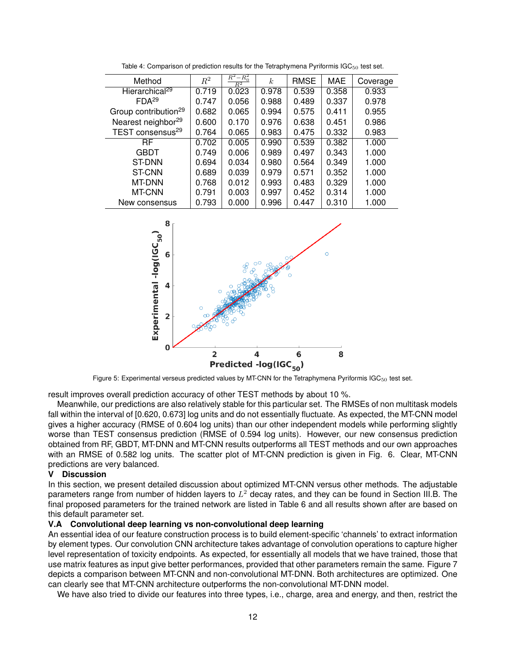<span id="page-11-2"></span>

| Method                           | $R^2$ | $R^2 - R_0^2$<br>$\overline{R^2}$ | k <sub>i</sub> | RMSE  | <b>MAE</b> | Coverage |
|----------------------------------|-------|-----------------------------------|----------------|-------|------------|----------|
| Hierarchical <sup>29</sup>       | 0.719 | 0.023                             | 0.978          | 0.539 | 0.358      | 0.933    |
| FDA <sup>29</sup>                | 0.747 | 0.056                             | 0.988          | 0.489 | 0.337      | 0.978    |
| Group contribution <sup>29</sup> | 0.682 | 0.065                             | 0.994          | 0.575 | 0.411      | 0.955    |
| Nearest neighbor <sup>29</sup>   | 0.600 | 0.170                             | 0.976          | 0.638 | 0.451      | 0.986    |
| TEST consensus <sup>29</sup>     | 0.764 | 0.065                             | 0.983          | 0.475 | 0.332      | 0.983    |
| RF                               | 0.702 | 0.005                             | 0.990          | 0.539 | 0.382      | 1.000    |
| <b>GBDT</b>                      | 0.749 | 0.006                             | 0.989          | 0.497 | 0.343      | 1.000    |
| ST-DNN                           | 0.694 | 0.034                             | 0.980          | 0.564 | 0.349      | 1.000    |
| <b>ST-CNN</b>                    | 0.689 | 0.039                             | 0.979          | 0.571 | 0.352      | 1.000    |
| <b>MT-DNN</b>                    | 0.768 | 0.012                             | 0.993          | 0.483 | 0.329      | 1.000    |
| MT-CNN                           | 0.791 | 0.003                             | 0.997          | 0.452 | 0.314      | 1.000    |
| New consensus                    | 0.793 | 0.000                             | 0.996          | 0.447 | 0.310      | 1.000    |

Table 4: Comparison of prediction results for the Tetraphymena Pyriformis  $IGC_{50}$  test set.

<span id="page-11-3"></span>

Figure 5: Experimental verseus predicted values by MT-CNN for the Tetraphymena Pyriformis IGC<sub>50</sub> test set.

result improves overall prediction accuracy of other TEST methods by about 10 %.

Meanwhile, our predictions are also relatively stable for this particular set. The RMSEs of non multitask models fall within the interval of [0.620, 0.673] log units and do not essentially fluctuate. As expected, the MT-CNN model gives a higher accuracy (RMSE of 0.604 log units) than our other independent models while performing slightly worse than TEST consensus prediction (RMSE of 0.594 log units). However, our new consensus prediction obtained from RF, GBDT, MT-DNN and MT-CNN results outperforms all TEST methods and our own approaches with an RMSE of 0.582 log units. The scatter plot of MT-CNN prediction is given in Fig. [6.](#page-12-3) Clear, MT-CNN predictions are very balanced.

## <span id="page-11-0"></span>**V Discussion**

In this section, we present detailed discussion about optimized MT-CNN versus other methods. The adjustable parameters range from number of hidden layers to  $L^2$  decay rates, and they can be found in Section [III.B.](#page-7-2) The final proposed parameters for the trained network are listed in Table [6](#page-12-4) and all results shown after are based on this default parameter set.

## <span id="page-11-1"></span>**V.A Convolutional deep learning vs non-convolutional deep learning**

An essential idea of our feature construction process is to build element-specific 'channels' to extract information by element types. Our convolution CNN architecture takes advantage of convolution operations to capture higher level representation of toxicity endpoints. As expected, for essentially all models that we have trained, those that use matrix features as input give better performances, provided that other parameters remain the same. Figure [7](#page-13-0) depicts a comparison between MT-CNN and non-convolutional MT-DNN. Both architectures are optimized. One can clearly see that MT-CNN architecture outperforms the non-convolutional MT-DNN model.

We have also tried to divide our features into three types, i.e., charge, area and energy, and then, restrict the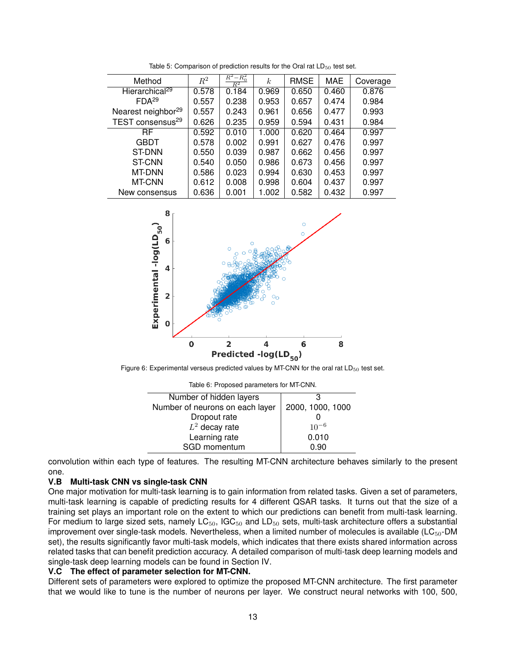<span id="page-12-2"></span>

| Method                         | $R^2$ | $R^2 - R_0^2$<br>$_{\rm R^2}$ | k.    | <b>RMSE</b> | <b>MAE</b> | Coverage |
|--------------------------------|-------|-------------------------------|-------|-------------|------------|----------|
| Hierarchical <sup>29</sup>     | 0.578 | 0.184                         | 0.969 | 0.650       | 0.460      | 0.876    |
| FDA <sup>29</sup>              | 0.557 | 0.238                         | 0.953 | 0.657       | 0.474      | 0.984    |
| Nearest neighbor <sup>29</sup> | 0.557 | 0.243                         | 0.961 | 0.656       | 0.477      | 0.993    |
| TEST consensus <sup>29</sup>   | 0.626 | 0.235                         | 0.959 | 0.594       | 0.431      | 0.984    |
| <b>RF</b>                      | 0.592 | 0.010                         | 1.000 | 0.620       | 0.464      | 0.997    |
| GBDT                           | 0.578 | 0.002                         | 0.991 | 0.627       | 0.476      | 0.997    |
| ST-DNN                         | 0.550 | 0.039                         | 0.987 | 0.662       | 0.456      | 0.997    |
| <b>ST-CNN</b>                  | 0.540 | 0.050                         | 0.986 | 0.673       | 0.456      | 0.997    |
| MT-DNN                         | 0.586 | 0.023                         | 0.994 | 0.630       | 0.453      | 0.997    |
| MT-CNN                         | 0.612 | 0.008                         | 0.998 | 0.604       | 0.437      | 0.997    |
| New consensus                  | 0.636 | 0.001                         | 1.002 | 0.582       | 0.432      | 0.997    |

Table 5: Comparison of prediction results for the Oral rat  $LD_{50}$  test set.

<span id="page-12-3"></span>

<span id="page-12-4"></span>Figure 6: Experimental verseus predicted values by MT-CNN for the oral rat  $LD_{50}$  test set.

| Table 6: Proposed parameters for MT-CNN. |  |  |  |  |  |
|------------------------------------------|--|--|--|--|--|
|                                          |  |  |  |  |  |
| 2000, 1000, 1000                         |  |  |  |  |  |
|                                          |  |  |  |  |  |
| $10^{-6}$                                |  |  |  |  |  |
| 0.010                                    |  |  |  |  |  |
| 0.90                                     |  |  |  |  |  |
|                                          |  |  |  |  |  |

convolution within each type of features. The resulting MT-CNN architecture behaves similarly to the present one.

## <span id="page-12-0"></span>**V.B Multi-task CNN vs single-task CNN**

One major motivation for multi-task learning is to gain information from related tasks. Given a set of parameters, multi-task learning is capable of predicting results for 4 different QSAR tasks. It turns out that the size of a training set plays an important role on the extent to which our predictions can benefit from multi-task learning. For medium to large sized sets, namely  $LC_{50}$ , IGC $_{50}$  and  $LD_{50}$  sets, multi-task architecture offers a substantial improvement over single-task models. Nevertheless, when a limited number of molecules is available  $(LC_{50}$ -DM set), the results significantly favor multi-task models, which indicates that there exists shared information across related tasks that can benefit prediction accuracy. A detailed comparison of multi-task deep learning models and single-task deep learning models can be found in Section [IV.](#page-8-1)

## <span id="page-12-1"></span>**V.C The effect of parameter selection for MT-CNN.**

Different sets of parameters were explored to optimize the proposed MT-CNN architecture. The first parameter that we would like to tune is the number of neurons per layer. We construct neural networks with 100, 500,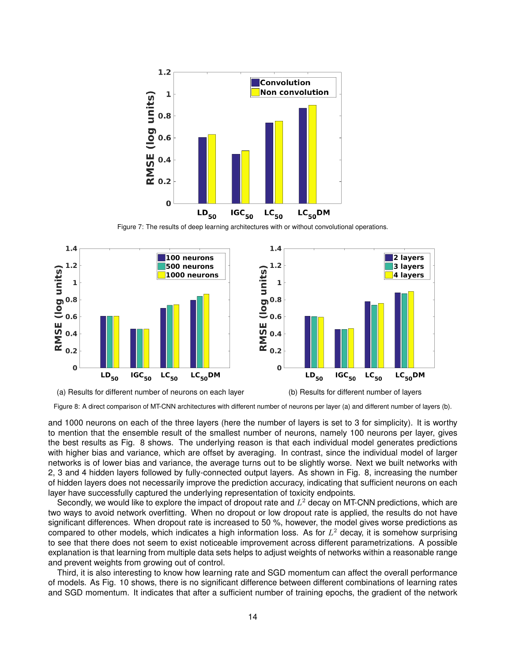<span id="page-13-0"></span>

Figure 7: The results of deep learning architectures with or without convolutional operations.

<span id="page-13-1"></span>



and 1000 neurons on each of the three layers (here the number of layers is set to 3 for simplicity). It is worthy to mention that the ensemble result of the smallest number of neurons, namely 100 neurons per layer, gives the best results as Fig. [8](#page-13-1) shows. The underlying reason is that each individual model generates predictions with higher bias and variance, which are offset by averaging. In contrast, since the individual model of larger networks is of lower bias and variance, the average turns out to be slightly worse. Next we built networks with 2, 3 and 4 hidden layers followed by fully-connected output layers. As shown in Fig. [8,](#page-13-1) increasing the number of hidden layers does not necessarily improve the prediction accuracy, indicating that sufficient neurons on each layer have successfully captured the underlying representation of toxicity endpoints.

Secondly, we would like to explore the impact of dropout rate and  $L^2$  decay on MT-CNN predictions, which are two ways to avoid network overfitting. When no dropout or low dropout rate is applied, the results do not have significant differences. When dropout rate is increased to 50 %, however, the model gives worse predictions as compared to other models, which indicates a high information loss. As for  $L^2$  decay, it is somehow surprising to see that there does not seem to exist noticeable improvement across different parametrizations. A possible explanation is that learning from multiple data sets helps to adjust weights of networks within a reasonable range and prevent weights from growing out of control.

Third, it is also interesting to know how learning rate and SGD momentum can affect the overall performance of models. As Fig. [10](#page-14-1) shows, there is no significant difference between different combinations of learning rates and SGD momentum. It indicates that after a sufficient number of training epochs, the gradient of the network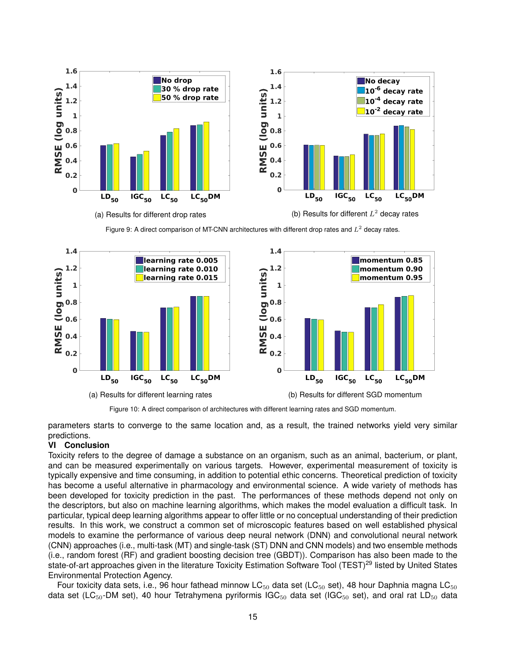

Figure 9: A direct comparison of MT-CNN architectures with different drop rates and  $L^2$  decay rates.

<span id="page-14-1"></span>

Figure 10: A direct comparison of architectures with different learning rates and SGD momentum.

parameters starts to converge to the same location and, as a result, the trained networks yield very similar predictions.

# <span id="page-14-0"></span>**VI Conclusion**

Toxicity refers to the degree of damage a substance on an organism, such as an animal, bacterium, or plant, and can be measured experimentally on various targets. However, experimental measurement of toxicity is typically expensive and time consuming, in addition to potential ethic concerns. Theoretical prediction of toxicity has become a useful alternative in pharmacology and environmental science. A wide variety of methods has been developed for toxicity prediction in the past. The performances of these methods depend not only on the descriptors, but also on machine learning algorithms, which makes the model evaluation a difficult task. In particular, typical deep learning algorithms appear to offer little or no conceptual understanding of their prediction results. In this work, we construct a common set of microscopic features based on well established physical models to examine the performance of various deep neural network (DNN) and convolutional neural network (CNN) approaches (i.e., multi-task (MT) and single-task (ST) DNN and CNN models) and two ensemble methods (i.e., random forest (RF) and gradient boosting decision tree (GBDT)). Comparison has also been made to the state-of-art approaches given in the literature [Toxicity Estimation Software Tool](https://www.epa.gov/chemical-research/toxicity-estimation-software-tool-test ) (TEST)<sup>[29](#page-16-15)</sup> listed by United States Environmental Protection Agency.

Four toxicity data sets, i.e., 96 hour fathead minnow LC $_{50}$  data set (LC $_{50}$  set), 48 hour Daphnia magna LC $_{50}$ data set (LC<sub>50</sub>-DM set), 40 hour Tetrahymena pyriformis IGC<sub>50</sub> data set (IGC<sub>50</sub> set), and oral rat LD<sub>50</sub> data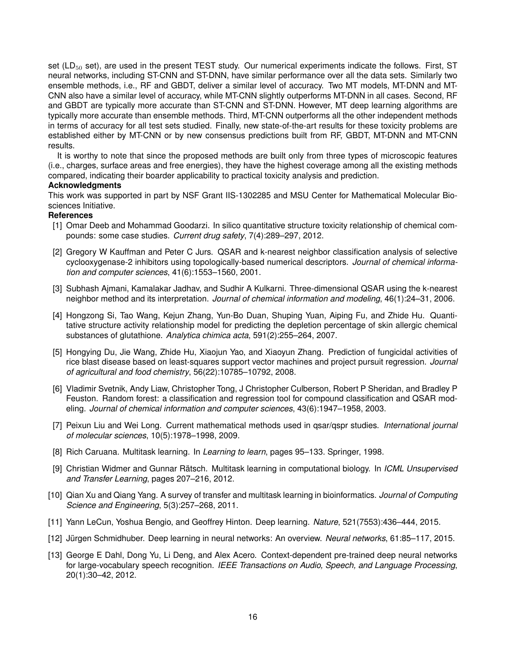set (LD<sub>50</sub> set), are used in the present TEST study. Our numerical experiments indicate the follows. First, ST neural networks, including ST-CNN and ST-DNN, have similar performance over all the data sets. Similarly two ensemble methods, i.e., RF and GBDT, deliver a similar level of accuracy. Two MT models, MT-DNN and MT-CNN also have a similar level of accuracy, while MT-CNN slightly outperforms MT-DNN in all cases. Second, RF and GBDT are typically more accurate than ST-CNN and ST-DNN. However, MT deep learning algorithms are typically more accurate than ensemble methods. Third, MT-CNN outperforms all the other independent methods in terms of accuracy for all test sets studied. Finally, new state-of-the-art results for these toxicity problems are established either by MT-CNN or by new consensus predictions built from RF, GBDT, MT-DNN and MT-CNN results.

It is worthy to note that since the proposed methods are built only from three types of microscopic features (i.e., charges, surface areas and free energies), they have the highest coverage among all the existing methods compared, indicating their boarder applicability to practical toxicity analysis and prediction.

## **Acknowledgments**

This work was supported in part by NSF Grant IIS-1302285 and MSU Center for Mathematical Molecular Biosciences Initiative.

## **References**

- <span id="page-15-0"></span>[1] Omar Deeb and Mohammad Goodarzi. In silico quantitative structure toxicity relationship of chemical compounds: some case studies. *Current drug safety*, 7(4):289–297, 2012.
- <span id="page-15-1"></span>[2] Gregory W Kauffman and Peter C Jurs. QSAR and k-nearest neighbor classification analysis of selective cyclooxygenase-2 inhibitors using topologically-based numerical descriptors. *Journal of chemical information and computer sciences*, 41(6):1553–1560, 2001.
- <span id="page-15-2"></span>[3] Subhash Ajmani, Kamalakar Jadhav, and Sudhir A Kulkarni. Three-dimensional QSAR using the k-nearest neighbor method and its interpretation. *Journal of chemical information and modeling*, 46(1):24–31, 2006.
- <span id="page-15-3"></span>[4] Hongzong Si, Tao Wang, Kejun Zhang, Yun-Bo Duan, Shuping Yuan, Aiping Fu, and Zhide Hu. Quantitative structure activity relationship model for predicting the depletion percentage of skin allergic chemical substances of glutathione. *Analytica chimica acta*, 591(2):255–264, 2007.
- <span id="page-15-4"></span>[5] Hongying Du, Jie Wang, Zhide Hu, Xiaojun Yao, and Xiaoyun Zhang. Prediction of fungicidal activities of rice blast disease based on least-squares support vector machines and project pursuit regression. *Journal of agricultural and food chemistry*, 56(22):10785–10792, 2008.
- <span id="page-15-5"></span>[6] Vladimir Svetnik, Andy Liaw, Christopher Tong, J Christopher Culberson, Robert P Sheridan, and Bradley P Feuston. Random forest: a classification and regression tool for compound classification and QSAR modeling. *Journal of chemical information and computer sciences*, 43(6):1947–1958, 2003.
- <span id="page-15-6"></span>[7] Peixun Liu and Wei Long. Current mathematical methods used in qsar/qspr studies. *International journal of molecular sciences*, 10(5):1978–1998, 2009.
- <span id="page-15-7"></span>[8] Rich Caruana. Multitask learning. In *Learning to learn*, pages 95–133. Springer, 1998.
- <span id="page-15-8"></span>[9] Christian Widmer and Gunnar Rätsch. Multitask learning in computational biology. In *ICML Unsupervised and Transfer Learning*, pages 207–216, 2012.
- <span id="page-15-9"></span>[10] Qian Xu and Qiang Yang. A survey of transfer and multitask learning in bioinformatics. *Journal of Computing Science and Engineering*, 5(3):257–268, 2011.
- <span id="page-15-10"></span>[11] Yann LeCun, Yoshua Bengio, and Geoffrey Hinton. Deep learning. *Nature*, 521(7553):436–444, 2015.
- <span id="page-15-11"></span>[12] Jürgen Schmidhuber. Deep learning in neural networks: An overview. *Neural networks*, 61:85–117, 2015.
- <span id="page-15-12"></span>[13] George E Dahl, Dong Yu, Li Deng, and Alex Acero. Context-dependent pre-trained deep neural networks for large-vocabulary speech recognition. *IEEE Transactions on Audio, Speech, and Language Processing*, 20(1):30–42, 2012.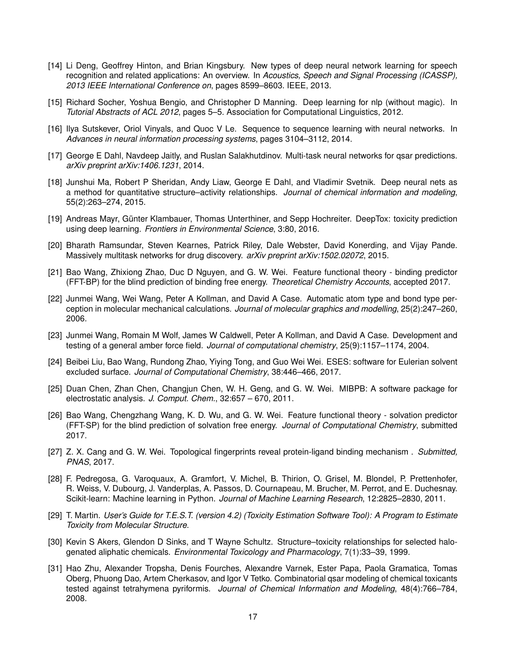- <span id="page-16-0"></span>[14] Li Deng, Geoffrey Hinton, and Brian Kingsbury. New types of deep neural network learning for speech recognition and related applications: An overview. In *Acoustics, Speech and Signal Processing (ICASSP), 2013 IEEE International Conference on*, pages 8599–8603. IEEE, 2013.
- <span id="page-16-1"></span>[15] Richard Socher, Yoshua Bengio, and Christopher D Manning. Deep learning for nlp (without magic). In *Tutorial Abstracts of ACL 2012*, pages 5–5. Association for Computational Linguistics, 2012.
- <span id="page-16-2"></span>[16] Ilya Sutskever, Oriol Vinyals, and Quoc V Le. Sequence to sequence learning with neural networks. In *Advances in neural information processing systems*, pages 3104–3112, 2014.
- <span id="page-16-3"></span>[17] George E Dahl, Navdeep Jaitly, and Ruslan Salakhutdinov. Multi-task neural networks for qsar predictions. *arXiv preprint arXiv:1406.1231*, 2014.
- <span id="page-16-4"></span>[18] Junshui Ma, Robert P Sheridan, Andy Liaw, George E Dahl, and Vladimir Svetnik. Deep neural nets as a method for quantitative structure–activity relationships. *Journal of chemical information and modeling*, 55(2):263–274, 2015.
- <span id="page-16-5"></span>[19] Andreas Mayr, Günter Klambauer, Thomas Unterthiner, and Sepp Hochreiter. DeepTox: toxicity prediction using deep learning. *Frontiers in Environmental Science*, 3:80, 2016.
- <span id="page-16-6"></span>[20] Bharath Ramsundar, Steven Kearnes, Patrick Riley, Dale Webster, David Konerding, and Vijay Pande. Massively multitask networks for drug discovery. *arXiv preprint arXiv:1502.02072*, 2015.
- <span id="page-16-7"></span>[21] Bao Wang, Zhixiong Zhao, Duc D Nguyen, and G. W. Wei. Feature functional theory - binding predictor (FFT-BP) for the blind prediction of binding free energy. *Theoretical Chemistry Accounts*, accepted 2017.
- <span id="page-16-8"></span>[22] Junmei Wang, Wei Wang, Peter A Kollman, and David A Case. Automatic atom type and bond type perception in molecular mechanical calculations. *Journal of molecular graphics and modelling*, 25(2):247–260, 2006.
- <span id="page-16-9"></span>[23] Junmei Wang, Romain M Wolf, James W Caldwell, Peter A Kollman, and David A Case. Development and testing of a general amber force field. *Journal of computational chemistry*, 25(9):1157–1174, 2004.
- <span id="page-16-10"></span>[24] Beibei Liu, Bao Wang, Rundong Zhao, Yiying Tong, and Guo Wei Wei. ESES: software for Eulerian solvent excluded surface. *Journal of Computational Chemistry*, 38:446–466, 2017.
- <span id="page-16-11"></span>[25] Duan Chen, Zhan Chen, Changjun Chen, W. H. Geng, and G. W. Wei. MIBPB: A software package for electrostatic analysis. *J. Comput. Chem.*, 32:657 – 670, 2011.
- <span id="page-16-12"></span>[26] Bao Wang, Chengzhang Wang, K. D. Wu, and G. W. Wei. Feature functional theory - solvation predictor (FFT-SP) for the blind prediction of solvation free energy. *Journal of Computational Chemistry*, submitted 2017.
- <span id="page-16-13"></span>[27] Z. X. Cang and G. W. Wei. Topological fingerprints reveal protein-ligand binding mechanism . *Submitted, PNAS*, 2017.
- <span id="page-16-14"></span>[28] F. Pedregosa, G. Varoquaux, A. Gramfort, V. Michel, B. Thirion, O. Grisel, M. Blondel, P. Prettenhofer, R. Weiss, V. Dubourg, J. Vanderplas, A. Passos, D. Cournapeau, M. Brucher, M. Perrot, and E. Duchesnay. Scikit-learn: Machine learning in Python. *Journal of Machine Learning Research*, 12:2825–2830, 2011.
- <span id="page-16-15"></span>[29] T. Martin. *User's Guide for T.E.S.T. (version 4.2) (Toxicity Estimation Software Tool): A Program to Estimate Toxicity from Molecular Structure*.
- <span id="page-16-16"></span>[30] Kevin S Akers, Glendon D Sinks, and T Wayne Schultz. Structure–toxicity relationships for selected halogenated aliphatic chemicals. *Environmental Toxicology and Pharmacology*, 7(1):33–39, 1999.
- <span id="page-16-17"></span>[31] Hao Zhu, Alexander Tropsha, Denis Fourches, Alexandre Varnek, Ester Papa, Paola Gramatica, Tomas Oberg, Phuong Dao, Artem Cherkasov, and Igor V Tetko. Combinatorial qsar modeling of chemical toxicants tested against tetrahymena pyriformis. *Journal of Chemical Information and Modeling*, 48(4):766–784, 2008.